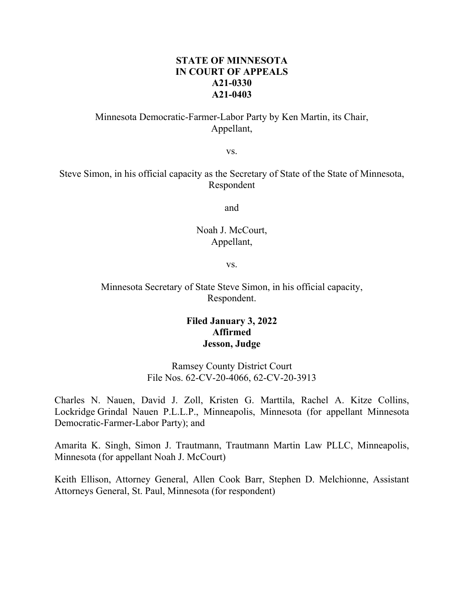## **STATE OF MINNESOTA IN COURT OF APPEALS A21-0330 A21-0403**

# Minnesota Democratic-Farmer-Labor Party by Ken Martin, its Chair, Appellant,

vs.

Steve Simon, in his official capacity as the Secretary of State of the State of Minnesota, Respondent

and

## Noah J. McCourt, Appellant,

vs.

## Minnesota Secretary of State Steve Simon, in his official capacity, Respondent.

# **Filed January 3, 2022 Affirmed Jesson, Judge**

Ramsey County District Court File Nos. 62-CV-20-4066, 62-CV-20-3913

Charles N. Nauen, David J. Zoll, Kristen G. Marttila, Rachel A. Kitze Collins, Lockridge Grindal Nauen P.L.L.P., Minneapolis, Minnesota (for appellant Minnesota Democratic-Farmer-Labor Party); and

Amarita K. Singh, Simon J. Trautmann, Trautmann Martin Law PLLC, Minneapolis, Minnesota (for appellant Noah J. McCourt)

Keith Ellison, Attorney General, Allen Cook Barr, Stephen D. Melchionne, Assistant Attorneys General, St. Paul, Minnesota (for respondent)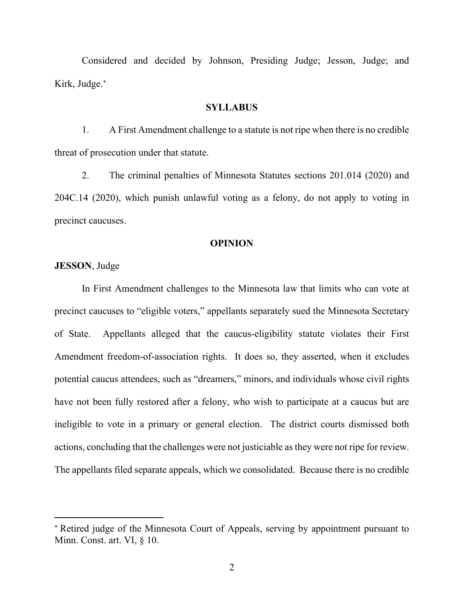Considered and decided by Johnson, Presiding Judge; Jesson, Judge; and Kirk, Judge.

#### **SYLLABUS**

1. A First Amendment challenge to a statute is not ripe when there is no credible threat of prosecution under that statute.

2. The criminal penalties of Minnesota Statutes sections 201.014 (2020) and 204C.14 (2020), which punish unlawful voting as a felony, do not apply to voting in precinct caucuses.

## **OPINION**

#### **JESSON**, Judge

In First Amendment challenges to the Minnesota law that limits who can vote at precinct caucuses to "eligible voters," appellants separately sued the Minnesota Secretary of State. Appellants alleged that the caucus-eligibility statute violates their First Amendment freedom-of-association rights. It does so, they asserted, when it excludes potential caucus attendees, such as "dreamers," minors, and individuals whose civil rights have not been fully restored after a felony, who wish to participate at a caucus but are ineligible to vote in a primary or general election. The district courts dismissed both actions, concluding that the challenges were not justiciable as they were not ripe for review. The appellants filed separate appeals, which we consolidated. Because there is no credible

Retired judge of the Minnesota Court of Appeals, serving by appointment pursuant to Minn. Const. art. VI, § 10.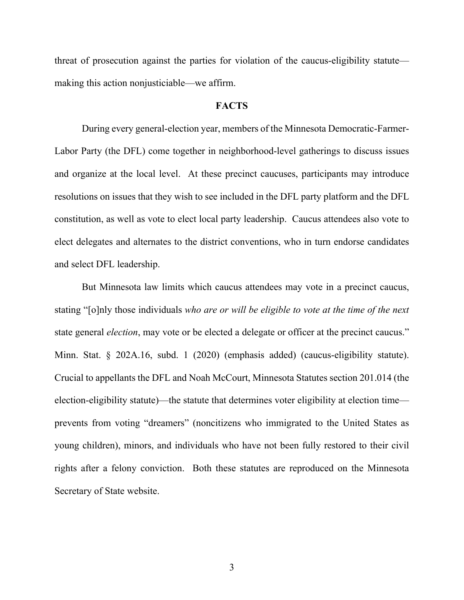threat of prosecution against the parties for violation of the caucus-eligibility statute making this action nonjusticiable—we affirm.

## **FACTS**

During every general-election year, members of the Minnesota Democratic-Farmer-Labor Party (the DFL) come together in neighborhood-level gatherings to discuss issues and organize at the local level. At these precinct caucuses, participants may introduce resolutions on issues that they wish to see included in the DFL party platform and the DFL constitution, as well as vote to elect local party leadership. Caucus attendees also vote to elect delegates and alternates to the district conventions, who in turn endorse candidates and select DFL leadership.

 But Minnesota law limits which caucus attendees may vote in a precinct caucus, stating "[o]nly those individuals *who are or will be eligible to vote at the time of the next* state general *election*, may vote or be elected a delegate or officer at the precinct caucus." Minn. Stat. § 202A.16, subd. 1 (2020) (emphasis added) (caucus-eligibility statute). Crucial to appellants the DFL and Noah McCourt, Minnesota Statutes section 201.014 (the election-eligibility statute)—the statute that determines voter eligibility at election time prevents from voting "dreamers" (noncitizens who immigrated to the United States as young children), minors, and individuals who have not been fully restored to their civil rights after a felony conviction. Both these statutes are reproduced on the Minnesota Secretary of State website.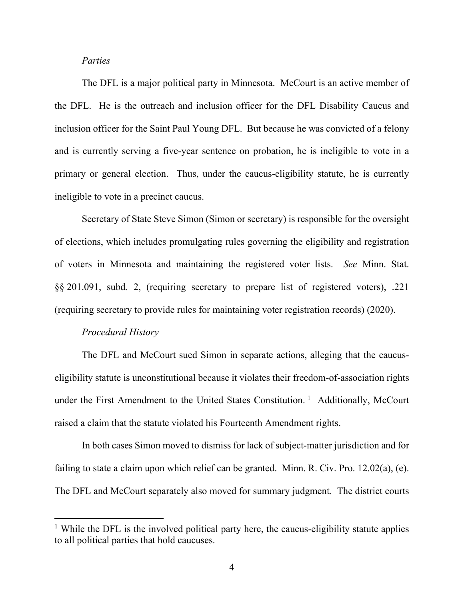### *Parties*

The DFL is a major political party in Minnesota. McCourt is an active member of the DFL. He is the outreach and inclusion officer for the DFL Disability Caucus and inclusion officer for the Saint Paul Young DFL. But because he was convicted of a felony and is currently serving a five-year sentence on probation, he is ineligible to vote in a primary or general election. Thus, under the caucus-eligibility statute, he is currently ineligible to vote in a precinct caucus.

 Secretary of State Steve Simon (Simon or secretary) is responsible for the oversight of elections, which includes promulgating rules governing the eligibility and registration of voters in Minnesota and maintaining the registered voter lists. *See* Minn. Stat. §§ 201.091, subd. 2, (requiring secretary to prepare list of registered voters), .221 (requiring secretary to provide rules for maintaining voter registration records) (2020).

### *Procedural History*

The DFL and McCourt sued Simon in separate actions, alleging that the caucuseligibility statute is unconstitutional because it violates their freedom-of-association rights under the First Amendment to the United States Constitution.<sup>1</sup> Additionally, McCourt raised a claim that the statute violated his Fourteenth Amendment rights.

In both cases Simon moved to dismiss for lack of subject-matter jurisdiction and for failing to state a claim upon which relief can be granted. Minn. R. Civ. Pro. 12.02(a), (e). The DFL and McCourt separately also moved for summary judgment. The district courts

<sup>&</sup>lt;sup>1</sup> While the DFL is the involved political party here, the caucus-eligibility statute applies to all political parties that hold caucuses.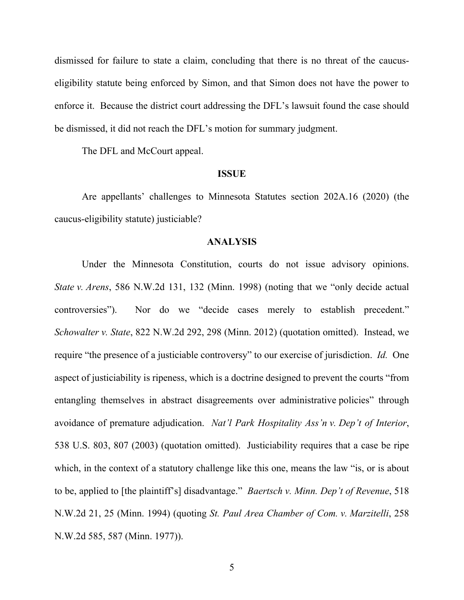dismissed for failure to state a claim, concluding that there is no threat of the caucuseligibility statute being enforced by Simon, and that Simon does not have the power to enforce it. Because the district court addressing the DFL's lawsuit found the case should be dismissed, it did not reach the DFL's motion for summary judgment.

The DFL and McCourt appeal.

#### **ISSUE**

Are appellants' challenges to Minnesota Statutes section 202A.16 (2020) (the caucus-eligibility statute) justiciable?

#### **ANALYSIS**

Under the Minnesota Constitution, courts do not issue advisory opinions. *State v. Arens*, 586 N.W.2d 131, 132 (Minn. 1998) (noting that we "only decide actual controversies"). Nor do we "decide cases merely to establish precedent." *Schowalter v. State*, 822 N.W.2d 292, 298 (Minn. 2012) (quotation omitted). Instead, we require "the presence of a justiciable controversy" to our exercise of jurisdiction. *Id.* One aspect of justiciability is ripeness, which is a doctrine designed to prevent the courts "from entangling themselves in abstract disagreements over administrative policies" through avoidance of premature adjudication. *Nat'l Park Hospitality Ass'n v. Dep't of Interior*, 538 U.S. 803, 807 (2003) (quotation omitted). Justiciability requires that a case be ripe which, in the context of a statutory challenge like this one, means the law "is, or is about to be, applied to [the plaintiff's] disadvantage." *Baertsch v. Minn. Dep't of Revenue*, 518 N.W.2d 21, 25 (Minn. 1994) (quoting *St. Paul Area Chamber of Com. v. Marzitelli*, 258 N.W.2d 585, 587 (Minn. 1977)).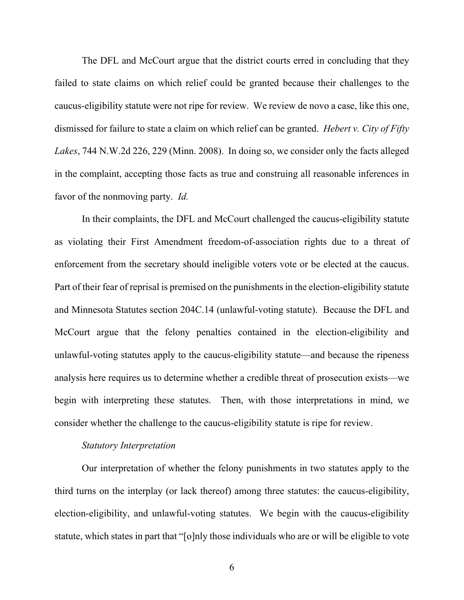The DFL and McCourt argue that the district courts erred in concluding that they failed to state claims on which relief could be granted because their challenges to the caucus-eligibility statute were not ripe for review. We review de novo a case, like this one, dismissed for failure to state a claim on which relief can be granted. *Hebert v. City of Fifty Lakes*, 744 N.W.2d 226, 229 (Minn. 2008). In doing so, we consider only the facts alleged in the complaint, accepting those facts as true and construing all reasonable inferences in favor of the nonmoving party. *Id.*

In their complaints, the DFL and McCourt challenged the caucus-eligibility statute as violating their First Amendment freedom-of-association rights due to a threat of enforcement from the secretary should ineligible voters vote or be elected at the caucus. Part of their fear of reprisal is premised on the punishments in the election-eligibility statute and Minnesota Statutes section 204C.14 (unlawful-voting statute). Because the DFL and McCourt argue that the felony penalties contained in the election-eligibility and unlawful-voting statutes apply to the caucus-eligibility statute—and because the ripeness analysis here requires us to determine whether a credible threat of prosecution exists—we begin with interpreting these statutes. Then, with those interpretations in mind, we consider whether the challenge to the caucus-eligibility statute is ripe for review.

## *Statutory Interpretation*

Our interpretation of whether the felony punishments in two statutes apply to the third turns on the interplay (or lack thereof) among three statutes: the caucus-eligibility, election-eligibility, and unlawful-voting statutes. We begin with the caucus-eligibility statute, which states in part that "[o]nly those individuals who are or will be eligible to vote

6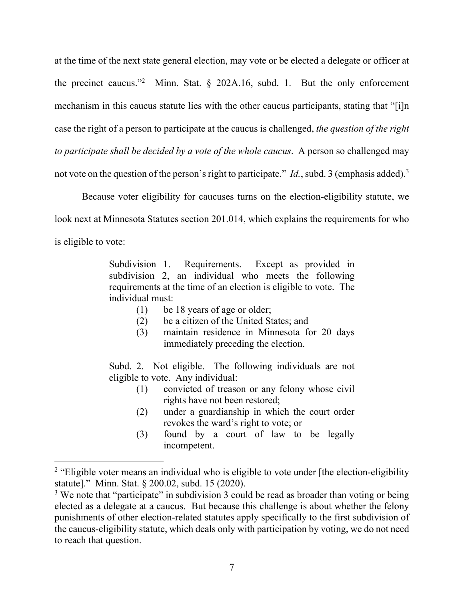at the time of the next state general election, may vote or be elected a delegate or officer at the precinct caucus."<sup>2</sup> Minn. Stat. § 202A.16, subd. 1. But the only enforcement mechanism in this caucus statute lies with the other caucus participants, stating that "[i]n case the right of a person to participate at the caucus is challenged, *the question of the right to participate shall be decided by a vote of the whole caucus*. A person so challenged may not vote on the question of the person's right to participate." *Id.*, subd. 3 (emphasis added).<sup>3</sup>

Because voter eligibility for caucuses turns on the election-eligibility statute, we look next at Minnesota Statutes section 201.014, which explains the requirements for who is eligible to vote:

> Subdivision 1. Requirements. Except as provided in subdivision 2, an individual who meets the following requirements at the time of an election is eligible to vote. The individual must:

- (1) be 18 years of age or older;
- (2) be a citizen of the United States; and
- (3) maintain residence in Minnesota for 20 days immediately preceding the election.

Subd. 2. Not eligible. The following individuals are not eligible to vote. Any individual:

- (1) convicted of treason or any felony whose civil rights have not been restored;
- (2) under a guardianship in which the court order revokes the ward's right to vote; or
- (3) found by a court of law to be legally incompetent.

<sup>&</sup>lt;sup>2</sup> "Eligible voter means an individual who is eligible to vote under [the election-eligibility statute]." Minn. Stat. § 200.02, subd. 15 (2020).

<sup>&</sup>lt;sup>3</sup> We note that "participate" in subdivision 3 could be read as broader than voting or being elected as a delegate at a caucus. But because this challenge is about whether the felony punishments of other election-related statutes apply specifically to the first subdivision of the caucus-eligibility statute, which deals only with participation by voting, we do not need to reach that question.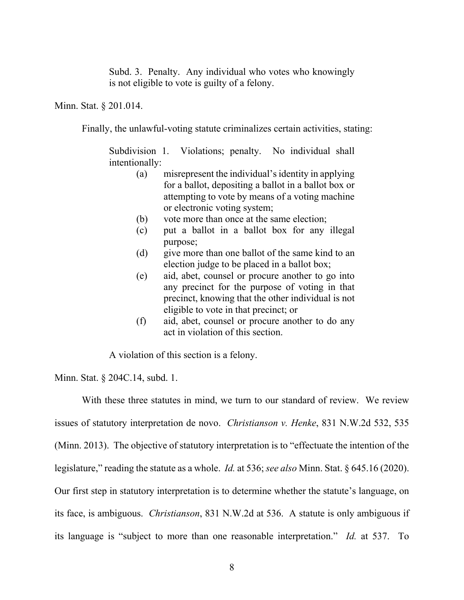Subd. 3. Penalty. Any individual who votes who knowingly is not eligible to vote is guilty of a felony.

Minn. Stat. § 201.014.

Finally, the unlawful-voting statute criminalizes certain activities, stating:

Subdivision 1. Violations; penalty. No individual shall intentionally:

- (a) misrepresent the individual's identity in applying for a ballot, depositing a ballot in a ballot box or attempting to vote by means of a voting machine or electronic voting system;
- (b) vote more than once at the same election;
- (c) put a ballot in a ballot box for any illegal purpose;
- (d) give more than one ballot of the same kind to an election judge to be placed in a ballot box;
- (e) aid, abet, counsel or procure another to go into any precinct for the purpose of voting in that precinct, knowing that the other individual is not eligible to vote in that precinct; or
- (f) aid, abet, counsel or procure another to do any act in violation of this section.

A violation of this section is a felony.

Minn. Stat. § 204C.14, subd. 1.

With these three statutes in mind, we turn to our standard of review. We review issues of statutory interpretation de novo. *Christianson v. Henke*, 831 N.W.2d 532, 535 (Minn. 2013). The objective of statutory interpretation is to "effectuate the intention of the legislature," reading the statute as a whole. *Id.* at 536; *see also* Minn. Stat. § 645.16 (2020). Our first step in statutory interpretation is to determine whether the statute's language, on its face, is ambiguous. *Christianson*, 831 N.W.2d at 536. A statute is only ambiguous if its language is "subject to more than one reasonable interpretation." *Id.* at 537. To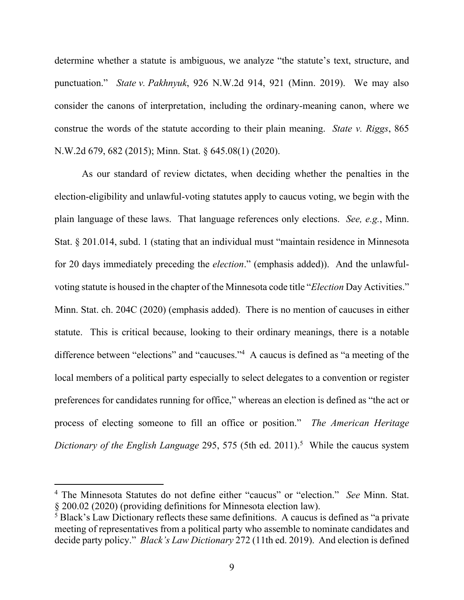determine whether a statute is ambiguous, we analyze "the statute's text, structure, and punctuation." *State v. Pakhnyuk*, 926 N.W.2d 914, 921 (Minn. 2019). We may also consider the canons of interpretation, including the ordinary-meaning canon, where we construe the words of the statute according to their plain meaning. *State v. Riggs*, 865 N.W.2d 679, 682 (2015); Minn. Stat. § 645.08(1) (2020).

As our standard of review dictates, when deciding whether the penalties in the election-eligibility and unlawful-voting statutes apply to caucus voting, we begin with the plain language of these laws. That language references only elections. *See, e.g.*, Minn. Stat. § 201.014, subd. 1 (stating that an individual must "maintain residence in Minnesota for 20 days immediately preceding the *election*." (emphasis added)). And the unlawfulvoting statute is housed in the chapter of the Minnesota code title "*Election* Day Activities." Minn. Stat. ch. 204C (2020) (emphasis added). There is no mention of caucuses in either statute. This is critical because, looking to their ordinary meanings, there is a notable difference between "elections" and "caucuses."<sup>4</sup> A caucus is defined as "a meeting of the local members of a political party especially to select delegates to a convention or register preferences for candidates running for office," whereas an election is defined as "the act or process of electing someone to fill an office or position." *The American Heritage*  Dictionary of the English Language 295, 575 (5th ed. 2011).<sup>5</sup> While the caucus system

<sup>4</sup> The Minnesota Statutes do not define either "caucus" or "election." *See* Minn. Stat. § 200.02 (2020) (providing definitions for Minnesota election law).

<sup>&</sup>lt;sup>5</sup> Black's Law Dictionary reflects these same definitions. A caucus is defined as "a private meeting of representatives from a political party who assemble to nominate candidates and decide party policy." *Black's Law Dictionary* 272 (11th ed. 2019). And election is defined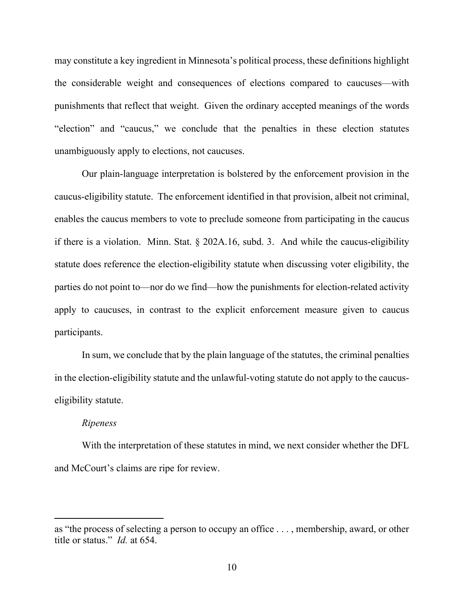may constitute a key ingredient in Minnesota's political process, these definitions highlight the considerable weight and consequences of elections compared to caucuses—with punishments that reflect that weight. Given the ordinary accepted meanings of the words "election" and "caucus," we conclude that the penalties in these election statutes unambiguously apply to elections, not caucuses.

Our plain-language interpretation is bolstered by the enforcement provision in the caucus-eligibility statute. The enforcement identified in that provision, albeit not criminal, enables the caucus members to vote to preclude someone from participating in the caucus if there is a violation. Minn. Stat.  $\S$  202A.16, subd. 3. And while the caucus-eligibility statute does reference the election-eligibility statute when discussing voter eligibility, the parties do not point to—nor do we find—how the punishments for election-related activity apply to caucuses, in contrast to the explicit enforcement measure given to caucus participants.

In sum, we conclude that by the plain language of the statutes, the criminal penalties in the election-eligibility statute and the unlawful-voting statute do not apply to the caucuseligibility statute.

### *Ripeness*

With the interpretation of these statutes in mind, we next consider whether the DFL and McCourt's claims are ripe for review.

as "the process of selecting a person to occupy an office . . . , membership, award, or other title or status." *Id.* at 654.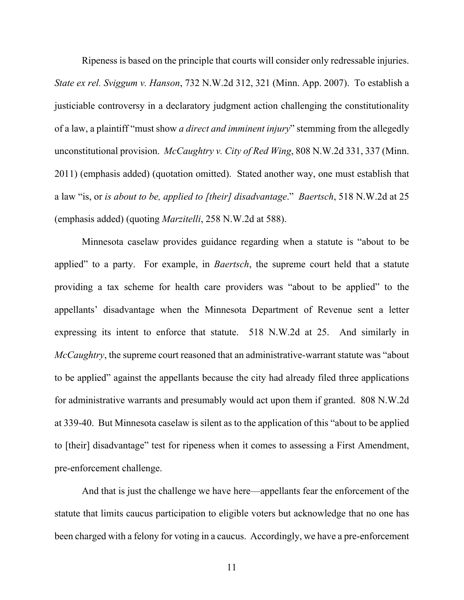Ripeness is based on the principle that courts will consider only redressable injuries. *State ex rel. Sviggum v. Hanson*, 732 N.W.2d 312, 321 (Minn. App. 2007). To establish a justiciable controversy in a declaratory judgment action challenging the constitutionality of a law, a plaintiff "must show *a direct and imminent injury*" stemming from the allegedly unconstitutional provision. *McCaughtry v. City of Red Wing*, 808 N.W.2d 331, 337 (Minn. 2011) (emphasis added) (quotation omitted). Stated another way, one must establish that a law "is, or *is about to be, applied to [their] disadvantage*." *Baertsch*, 518 N.W.2d at 25 (emphasis added) (quoting *Marzitelli*, 258 N.W.2d at 588).

Minnesota caselaw provides guidance regarding when a statute is "about to be applied" to a party. For example, in *Baertsch*, the supreme court held that a statute providing a tax scheme for health care providers was "about to be applied" to the appellants' disadvantage when the Minnesota Department of Revenue sent a letter expressing its intent to enforce that statute. 518 N.W.2d at 25. And similarly in *McCaughtry*, the supreme court reasoned that an administrative-warrant statute was "about to be applied" against the appellants because the city had already filed three applications for administrative warrants and presumably would act upon them if granted. 808 N.W.2d at 339-40. But Minnesota caselaw is silent as to the application of this "about to be applied to [their] disadvantage" test for ripeness when it comes to assessing a First Amendment, pre-enforcement challenge.

And that is just the challenge we have here—appellants fear the enforcement of the statute that limits caucus participation to eligible voters but acknowledge that no one has been charged with a felony for voting in a caucus. Accordingly, we have a pre-enforcement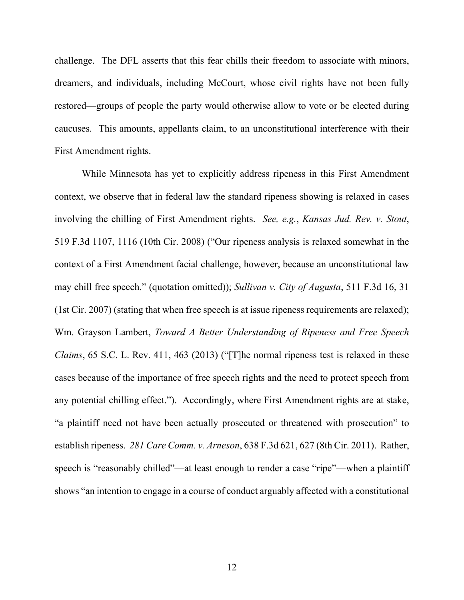challenge. The DFL asserts that this fear chills their freedom to associate with minors, dreamers, and individuals, including McCourt, whose civil rights have not been fully restored—groups of people the party would otherwise allow to vote or be elected during caucuses. This amounts, appellants claim, to an unconstitutional interference with their First Amendment rights.

While Minnesota has yet to explicitly address ripeness in this First Amendment context, we observe that in federal law the standard ripeness showing is relaxed in cases involving the chilling of First Amendment rights. *See, e.g.*, *Kansas Jud. Rev. v. Stout*, 519 F.3d 1107, 1116 (10th Cir. 2008) ("Our ripeness analysis is relaxed somewhat in the context of a First Amendment facial challenge, however, because an unconstitutional law may chill free speech." (quotation omitted)); *Sullivan v. City of Augusta*, 511 F.3d 16, 31 (1st Cir. 2007) (stating that when free speech is at issue ripeness requirements are relaxed); Wm. Grayson Lambert, *Toward A Better Understanding of Ripeness and Free Speech Claims*, 65 S.C. L. Rev. 411, 463 (2013) ("[T]he normal ripeness test is relaxed in these cases because of the importance of free speech rights and the need to protect speech from any potential chilling effect."). Accordingly, where First Amendment rights are at stake, "a plaintiff need not have been actually prosecuted or threatened with prosecution" to establish ripeness. *281 Care Comm. v. Arneson*, 638 F.3d 621, 627 (8th Cir. 2011). Rather, speech is "reasonably chilled"—at least enough to render a case "ripe"—when a plaintiff shows "an intention to engage in a course of conduct arguably affected with a constitutional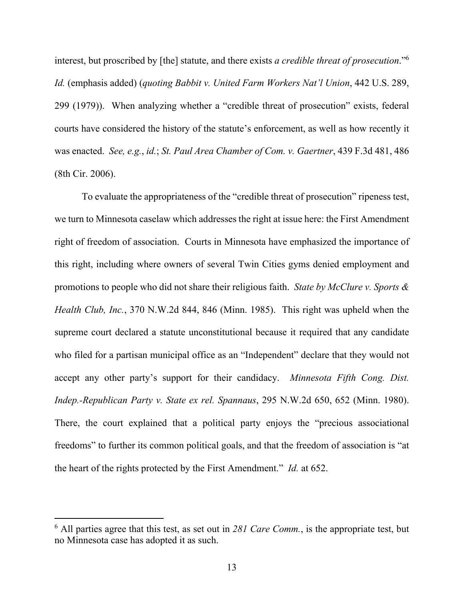interest, but proscribed by [the] statute, and there exists *a credible threat of prosecution*."6 *Id.* (emphasis added) (*quoting Babbit v. United Farm Workers Nat'l Union*, 442 U.S. 289, 299 (1979)). When analyzing whether a "credible threat of prosecution" exists, federal courts have considered the history of the statute's enforcement, as well as how recently it was enacted. *See, e.g.*, *id.*; *St. Paul Area Chamber of Com. v. Gaertner*, 439 F.3d 481, 486 (8th Cir. 2006).

To evaluate the appropriateness of the "credible threat of prosecution" ripeness test, we turn to Minnesota caselaw which addresses the right at issue here: the First Amendment right of freedom of association. Courts in Minnesota have emphasized the importance of this right, including where owners of several Twin Cities gyms denied employment and promotions to people who did not share their religious faith. *State by McClure v. Sports & Health Club, Inc.*, 370 N.W.2d 844, 846 (Minn. 1985). This right was upheld when the supreme court declared a statute unconstitutional because it required that any candidate who filed for a partisan municipal office as an "Independent" declare that they would not accept any other party's support for their candidacy. *Minnesota Fifth Cong. Dist. Indep.-Republican Party v. State ex rel. Spannaus*, 295 N.W.2d 650, 652 (Minn. 1980). There, the court explained that a political party enjoys the "precious associational freedoms" to further its common political goals, and that the freedom of association is "at the heart of the rights protected by the First Amendment." *Id.* at 652.

<sup>6</sup> All parties agree that this test, as set out in *281 Care Comm.*, is the appropriate test, but no Minnesota case has adopted it as such.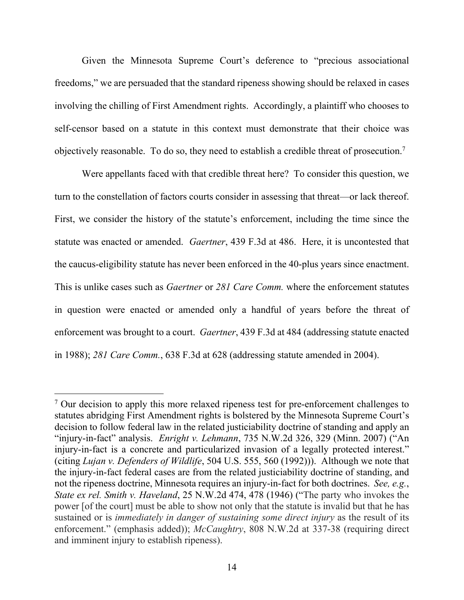Given the Minnesota Supreme Court's deference to "precious associational freedoms," we are persuaded that the standard ripeness showing should be relaxed in cases involving the chilling of First Amendment rights. Accordingly, a plaintiff who chooses to self-censor based on a statute in this context must demonstrate that their choice was objectively reasonable. To do so, they need to establish a credible threat of prosecution.<sup>7</sup>

Were appellants faced with that credible threat here? To consider this question, we turn to the constellation of factors courts consider in assessing that threat—or lack thereof. First, we consider the history of the statute's enforcement, including the time since the statute was enacted or amended. *Gaertner*, 439 F.3d at 486. Here, it is uncontested that the caucus-eligibility statute has never been enforced in the 40-plus years since enactment. This is unlike cases such as *Gaertner* or *281 Care Comm.* where the enforcement statutes in question were enacted or amended only a handful of years before the threat of enforcement was brought to a court. *Gaertner*, 439 F.3d at 484 (addressing statute enacted in 1988); *281 Care Comm.*, 638 F.3d at 628 (addressing statute amended in 2004).

<sup>&</sup>lt;sup>7</sup> Our decision to apply this more relaxed ripeness test for pre-enforcement challenges to statutes abridging First Amendment rights is bolstered by the Minnesota Supreme Court's decision to follow federal law in the related justiciability doctrine of standing and apply an "injury-in-fact" analysis. *Enright v. Lehmann*, 735 N.W.2d 326, 329 (Minn. 2007) ("An injury-in-fact is a concrete and particularized invasion of a legally protected interest." (citing *Lujan v. Defenders of Wildlife*, 504 U.S. 555, 560 (1992))). Although we note that the injury-in-fact federal cases are from the related justiciability doctrine of standing, and not the ripeness doctrine, Minnesota requires an injury-in-fact for both doctrines. *See, e.g.*, *State ex rel. Smith v. Haveland*, 25 N.W.2d 474, 478 (1946) ("The party who invokes the power [of the court] must be able to show not only that the statute is invalid but that he has sustained or is *immediately in danger of sustaining some direct injury* as the result of its enforcement." (emphasis added)); *McCaughtry*, 808 N.W.2d at 337-38 (requiring direct and imminent injury to establish ripeness).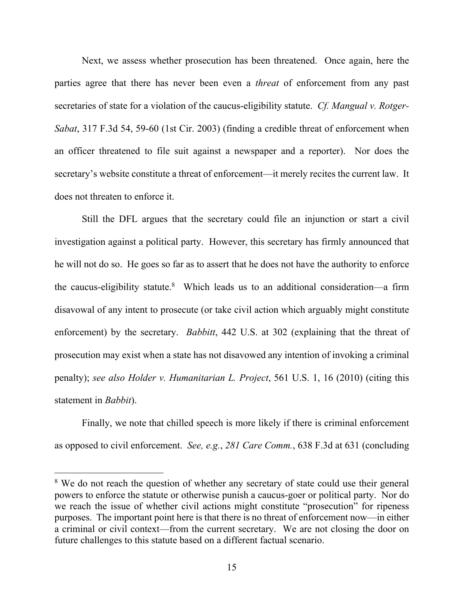Next, we assess whether prosecution has been threatened. Once again, here the parties agree that there has never been even a *threat* of enforcement from any past secretaries of state for a violation of the caucus-eligibility statute. *Cf. Mangual v. Rotger-Sabat*, 317 F.3d 54, 59-60 (1st Cir. 2003) (finding a credible threat of enforcement when an officer threatened to file suit against a newspaper and a reporter). Nor does the secretary's website constitute a threat of enforcement—it merely recites the current law. It does not threaten to enforce it.

Still the DFL argues that the secretary could file an injunction or start a civil investigation against a political party. However, this secretary has firmly announced that he will not do so. He goes so far as to assert that he does not have the authority to enforce the caucus-eligibility statute.<sup>8</sup> Which leads us to an additional consideration—a firm disavowal of any intent to prosecute (or take civil action which arguably might constitute enforcement) by the secretary. *Babbitt*, 442 U.S. at 302 (explaining that the threat of prosecution may exist when a state has not disavowed any intention of invoking a criminal penalty); *see also Holder v. Humanitarian L. Project*, 561 U.S. 1, 16 (2010) (citing this statement in *Babbit*).

Finally, we note that chilled speech is more likely if there is criminal enforcement as opposed to civil enforcement. *See, e.g.*, *281 Care Comm.*, 638 F.3d at 631 (concluding

<sup>&</sup>lt;sup>8</sup> We do not reach the question of whether any secretary of state could use their general powers to enforce the statute or otherwise punish a caucus-goer or political party. Nor do we reach the issue of whether civil actions might constitute "prosecution" for ripeness purposes. The important point here is that there is no threat of enforcement now—in either a criminal or civil context—from the current secretary. We are not closing the door on future challenges to this statute based on a different factual scenario.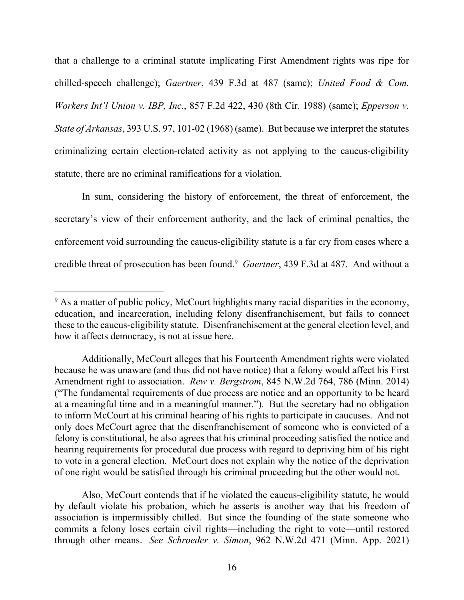that a challenge to a criminal statute implicating First Amendment rights was ripe for chilled-speech challenge); *Gaertner*, 439 F.3d at 487 (same); *United Food & Com. Workers Int'l Union v. IBP, Inc.*, 857 F.2d 422, 430 (8th Cir. 1988) (same); *Epperson v. State of Arkansas*, 393 U.S. 97, 101-02 (1968) (same). But because we interpret the statutes criminalizing certain election-related activity as not applying to the caucus-eligibility statute, there are no criminal ramifications for a violation.

In sum, considering the history of enforcement, the threat of enforcement, the secretary's view of their enforcement authority, and the lack of criminal penalties, the enforcement void surrounding the caucus-eligibility statute is a far cry from cases where a credible threat of prosecution has been found.<sup>9</sup> Gaertner, 439 F.3d at 487. And without a

<sup>&</sup>lt;sup>9</sup> As a matter of public policy, McCourt highlights many racial disparities in the economy, education, and incarceration, including felony disenfranchisement, but fails to connect these to the caucus-eligibility statute. Disenfranchisement at the general election level, and how it affects democracy, is not at issue here.

Additionally, McCourt alleges that his Fourteenth Amendment rights were violated because he was unaware (and thus did not have notice) that a felony would affect his First Amendment right to association. *Rew v. Bergstrom*, 845 N.W.2d 764, 786 (Minn. 2014) ("The fundamental requirements of due process are notice and an opportunity to be heard at a meaningful time and in a meaningful manner."). But the secretary had no obligation to inform McCourt at his criminal hearing of his rights to participate in caucuses. And not only does McCourt agree that the disenfranchisement of someone who is convicted of a felony is constitutional, he also agrees that his criminal proceeding satisfied the notice and hearing requirements for procedural due process with regard to depriving him of his right to vote in a general election. McCourt does not explain why the notice of the deprivation of one right would be satisfied through his criminal proceeding but the other would not.

Also, McCourt contends that if he violated the caucus-eligibility statute, he would by default violate his probation, which he asserts is another way that his freedom of association is impermissibly chilled. But since the founding of the state someone who commits a felony loses certain civil rights—including the right to vote—until restored through other means. *See Schroeder v. Simon*, 962 N.W.2d 471 (Minn. App. 2021)